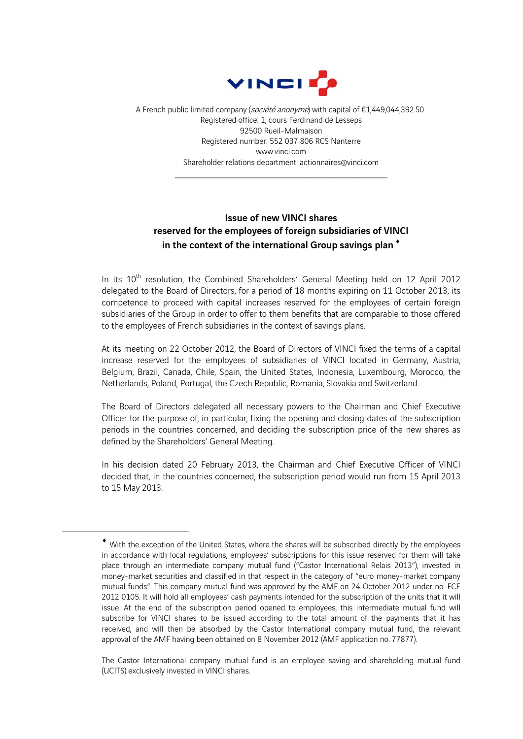

A French public limited company (société anonyme) with capital of €1,449,044,392.50 Registered office: 1, cours Ferdinand de Lesseps 92500 Rueil-Malmaison Registered number: 552 037 806 RCS Nanterre www.vinci.com Shareholder relations department: actionnaires@vinci.com

\_\_\_\_\_\_\_\_\_\_\_\_\_\_\_\_\_\_\_\_\_\_\_\_\_\_\_\_\_\_\_\_\_\_\_\_\_\_\_\_\_\_\_\_

## Issue of new VINCI shares reserved for the employees of foreign subsidiaries of VINCI in the context of the international Group savings plan<sup>\*</sup>

In its 10<sup>th</sup> resolution, the Combined Shareholders' General Meeting held on 12 April 2012 delegated to the Board of Directors, for a period of 18 months expiring on 11 October 2013, its competence to proceed with capital increases reserved for the employees of certain foreign subsidiaries of the Group in order to offer to them benefits that are comparable to those offered to the employees of French subsidiaries in the context of savings plans.

At its meeting on 22 October 2012, the Board of Directors of VINCI fixed the terms of a capital increase reserved for the employees of subsidiaries of VINCI located in Germany, Austria, Belgium, Brazil, Canada, Chile, Spain, the United States, Indonesia, Luxembourg, Morocco, the Netherlands, Poland, Portugal, the Czech Republic, Romania, Slovakia and Switzerland.

The Board of Directors delegated all necessary powers to the Chairman and Chief Executive Officer for the purpose of, in particular, fixing the opening and closing dates of the subscription periods in the countries concerned, and deciding the subscription price of the new shares as defined by the Shareholders' General Meeting.

In his decision dated 20 February 2013, the Chairman and Chief Executive Officer of VINCI decided that, in the countries concerned, the subscription period would run from 15 April 2013 to 15 May 2013.

1

With the exception of the United States, where the shares will be subscribed directly by the employees in accordance with local regulations, employees' subscriptions for this issue reserved for them will take place through an intermediate company mutual fund ("Castor International Relais 2013"), invested in money-market securities and classified in that respect in the category of "euro money-market company mutual funds". This company mutual fund was approved by the AMF on 24 October 2012 under no. FCE 2012 0105. It will hold all employees' cash payments intended for the subscription of the units that it will issue. At the end of the subscription period opened to employees, this intermediate mutual fund will subscribe for VINCI shares to be issued according to the total amount of the payments that it has received, and will then be absorbed by the Castor International company mutual fund, the relevant approval of the AMF having been obtained on 8 November 2012 (AMF application no. 77877).

The Castor International company mutual fund is an employee saving and shareholding mutual fund (UCITS) exclusively invested in VINCI shares.